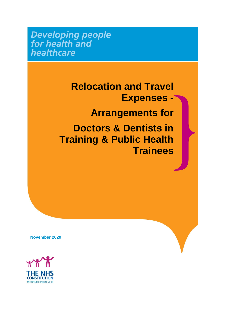**Developing people**<br>for health and healthcare

> **Relocation and Travel Expenses - Arrangements for Doctors & Dentists in Training & Public Health Trainees**

**November 2020**

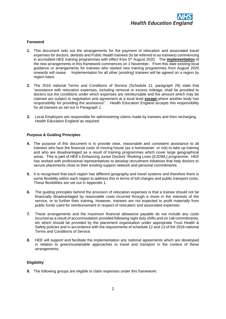

## **Foreword**

- **1.** This document sets out the arrangements for the payment of relocation and associated travel expenses for doctors, dentists and Public Health trainees (to be referred to as trainees) commencing in accredited HEE training programmes with effect from 5<sup>th</sup> August 2020. The *implementation* of the new arrangements in this framework commences on 1 November. From this date existing local guidance or arrangements for trainees who started new training programmes from August 2020 onwards will cease. Implementation for all other (existing) trainees will be agreed on a region by region basis.
- **2.** The 2016 national Terms and Conditions of Service (Schedule 11, paragraph 29) state that "assistance with relocation expenses, including removal or excess mileage, shall be provided to doctors but the conditions under which expenses are reimbursable and the amount which may be claimed are subject to negotiation and agreement at a local level **except** where another body has responsibility for providing the assistance". Health Education England accepts this responsibility for all trainees as set out in Paragraph 1.
- **3.** Local Employers are responsible for administering claims made by trainees and then recharging Health Education England as required.

## **Purpose & Guiding Principles**

- **4.** The purpose of this document is to provide clear, reasonable and consistent assistance to all trainees who face the financial costs of moving house (as a homeowner or not) to take up training and who are disadvantaged as a result of training programmes which cover large geographical areas. This is part of HEE's Enhancing Junior Doctors' Working Lives (EJDWL) programme. HEE has worked with professional representatives to develop recruitment initiatives that help doctors to secure placements close to their existing support network and personal commitments.
- **5.** It is recognised that each region has different geography and travel systems and therefore there is some flexibility within each region to address this in terms of toll charges and public transport costs. These flexibilities are set out in Appendix 1.
- **6.** The guiding principles behind the provision of relocation expenses is that a trainee should not be financially disadvantaged by reasonable costs incurred through a move in the interests of the service, or to further their training. However, trainees are not expected to profit materially from public funds used for reimbursement in respect of relocation and associated expenses.
- **7.** These arrangements and the maximum financial allowance payable do not include any costs incurred as a result of accommodation provided following night duty shifts and on call commitments, etc which should be provided by the placement organisation under appropriate Trust Health & Safety policies and in accordance with the requirements of schedule 12 and 13 of the 2016 national Terms and Conditions of Service.
- **8.** HEE will support and facilitate the implementation any national agreements which are developed in relation to green/sustainable approaches to travel and transport in the context of these arrangements.

## **Eligibility**

**9.** The following groups are eligible to claim expenses under this framework: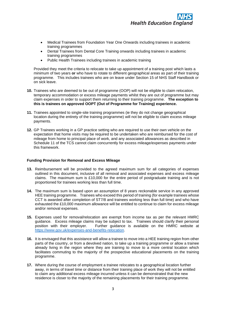- Medical Trainees from Foundation Year One Onwards including trainees in academic training programmes
- Dental Trainees from Dental Core Training onwards including trainees in academic training programmes
- Public Health Trainees including trainees in academic training

Provided they meet the criteria to relocate to take up appointment of a training post which lasts a minimum of two years **or** who have to rotate to different geographical areas as part of their training programme. This includes trainees who are on leave under Section 15 of NHS Staff Handbook or on sick leave.

- **10.** Trainees who are deemed to be out of programme (OOP) will not be eligible to claim relocation, temporary accommodation or excess mileage payments whilst they are out of programme but may claim expenses in order to support them returning to their training programme. **The exception to this is trainees on approved OOPT (Out of Programme for Training) experience.**
- **11.** Trainees appointed to single-site training programmes (ie they do not change geographical location during the entirety of the training programme) will not be eligible to claim excess mileage payments.
- **12.** GP Trainees working in a GP practice setting who are required to use their own vehicle on the expectation that home visits may be required to be undertaken who are reimbursed for the cost of mileage from home to principal place of work, and any associated allowances as described in Schedule 11 of the TCS cannot claim concurrently for excess mileage/expenses payments under this framework.

### **Funding Provision for Removal and Excess Mileage**

- **13.** Reimbursement will be provided to the agreed maximum sum for all categories of expenses outlined in this document, inclusive of all removal and associated expenses and excess mileage claims. The maximum sum is £10,000 for the entire period of postgraduate training and is not proportioned for trainees working less than full time.
- **14.** The maximum sum is based upon an assumption of 8 years reckonable service in any approved HEE training programme. Trainees who exceed this period of training (for example trainees whose CCT is awarded after completion of ST7/8 and trainees working less than full time) and who have exhausted the £10,000 maximum allowance will be entitled to continue to claim for excess mileage and/or removal expenses.
- **15.** Expenses used for removal/relocation are exempt from income tax as per the relevant HMRC guidance. Excess mileage claims may be subject to tax. Trainees should clarify their personal position with their employer. Further guidance is available on the HMRC website at [https://www.gov.uk/expenses-and-benefits-relocation.](https://www.gov.uk/expenses-and-benefits-relocation)
- **16.** It is envisaged that this assistance will allow a trainee to move into a HEE training region from other parts of the country, or from a devolved nation, to take up a training programme or allow a trainee already living in the region where they are training to move to a more central location which facilitates commuting to the majority of the prospective educational placements on the training programme.
- **17.** Where during the course of employment a trainee relocates to a geographical location further away, in terms of travel time or distance from their training place of work they will not be entitled to claim any additional excess mileage incurred unless it can be demonstrated that the new residence is closer to the majority of the remaining placements for their training programme.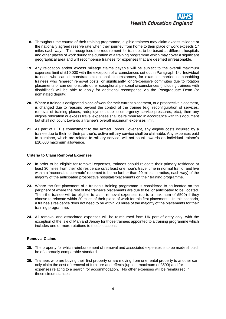

- **18.** Throughout the course of their training programme, eligible trainees may claim excess mileage at the nationally agreed reserve rate when their journey from home to their place of work exceeds 17 miles each way. This recognises the requirement for trainees to be based at different hospitals and other places of work during the duration of a training programme which may cover a significant geographical area and will recompense trainees for expenses that are deemed unreasonable.
- **19.** Any relocation and/or excess mileage claims payable will be subject to the overall maximum expenses limit of £10,000 with the exception of circumstances set out in Paragraph 14. Individual trainees who can demonstrate exceptional circumstances, for example married or cohabiting trainees who "shared" removal costs; or significantly long/expensive commutes due to rotation placements or can demonstrate other exceptional personal circumstances (including trainees with disabilities) will be able to apply for additional recompense via the Postgraduate Dean (or nominated deputy).
- **20.** Where a trainee's designated place of work for their current placement, or a prospective placement, is changed due to reasons beyond the control of the trainee (e.g. reconfiguration of services, removal of training places, redeployment due to emergency service pressures, etc.), then any eligible relocation or excess travel expenses shall be reimbursed in accordance with this document but shall not count towards a trainee's overall maximum expenses limit.
- **21.** As part of HEE's commitment to the Armed Forces Covenant, any eligible costs incurred by a trainee due to their, or their partner's, active military service shall be claimable. Any expenses paid to a trainee, which are related to military service, will not count towards an individual trainee's £10,000 maximum allowance.

## **Criteria to Claim Removal Expenses**

- **22.** In order to be eligible for removal expenses, trainees should relocate their primary residence at least 30 miles from their old residence or/at least one hour's travel time in normal traffic and live within a 'reasonable commute' (deemed to be no further than 20 miles, in radius, each way) of the majority of the anticipated prospective hospitals/placements on their training programme.
- **23.** Where the first placement of a trainee's training programme is considered to be located on the periphery of where the rest of the trainee's placements are due to be, or anticipated to be, located. Then the trainee will be eligible to claim removal expenses (up to a maximum of £500) if they choose to relocate within 20 miles of their place of work for this first placement. In this scenario, a trainee's residence does not need to be within 20 miles of the majority of the placements for their training programme.
- **24.** All removal and associated expenses will be reimbursed from UK port of entry only, with the exception of the Isle of Man and Jersey for those trainees appointed to a training programme which includes one or more rotations to these locations.

## **Removal Claims**

- **25.** The property for which reimbursement of removal and associated expenses is to be made should be of a broadly comparable standard.
- **26.** Trainees who are buying their first property or are moving from one rental property to another can only claim the cost of removal of furniture and effects (up to a maximum of £500) and for expenses relating to a search for accommodation. No other expenses will be reimbursed in these circumstances.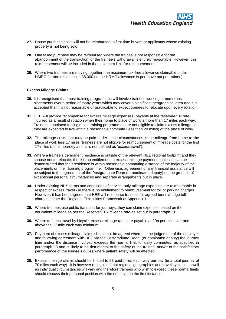- **27.** House purchase costs will not be reimbursed to first time buyers or applicants whose existing property is not being sold.
- **28.** One failed purchase may be reimbursed where the trainee is not responsible for the abandonment of the transaction, or the trainee's withdrawal is entirely reasonable. However, this reimbursement will be included in the maximum limit for reimbursement.
- **29.** Where two trainees are moving together, the maximum tax-free allowance claimable under HMRC for one relocation is £8,000 (ie the HRMC allowance is per move not per trainee).

## **Excess Mileage Claims**

- **30.** It is recognised that most training programmes will involve trainees working at numerous placements over a period of many years which may cover a significant geographical area and it is accepted that it is not reasonable or practicable to expect trainees to relocate upon every rotation.
- **31.** HEE will provide recompense for excess mileage expenses (payable at the reserve/PTR rate) incurred as a result of rotation when their home to place of work is more than 17 miles each way. Trainees appointed to single-site training programmes are not eligible to claim excess mileage as they are expected to live within a reasonable commute (less than 20 miles) of the place of work.
- **32.** The mileage costs that may be paid under these circumstances is the mileage from home to the place of work less 17 miles (trainees are not eligible for reimbursement of mileage costs for the first 17 miles of their journey as this is not defined as 'excess travel').
- **33.** Where a trainee's permanent residence is outside of the relevant HEE regional footprint and they choose not to relocate, there is no entitlement to excess mileage payments unless it can be demonstrated that their residence is within reasonable commuting distance of the majority of the placements on their training programme. Otherwise, agreement of any financial assistance will be subject to the agreement of the Postgraduate Dean (or nominated deputy) on the grounds of exceptional personal circumstances and separate arrangements put in place.
- **34.** Under existing NHS terms and conditions of service, only mileage expenses are reimbursable in respect of excess travel - ie there is no entitlement to reimbursement for toll or parking charges. However, it has been agreed that HEE will reimburse trainees for agreed tunnel/bridge toll charges as per the Regional Flexibilities Framework at Appendix 1.
- **35.** Where trainees use public transport for journeys, they can claim expenses based on the equivalent mileage as per the Reserve/PTR mileage rate as set out in paragraph 31.
- **36.** Where trainees travel by bicycle, excess mileage rates are payable at 20p per mile over and above the 17 mile each way minimum
- **37.** Payment of excess mileage claims should not be agreed where, in the judgement of the employer and following agreement with HEE via the Postgraduate Dean (or nominated deputy) the journey time and/or the distance involved exceeds the normal limit for daily commutes, as specified in paragraph 38 and is likely to be detrimental to the safety of the trainee, and/or to the satisfactory performance of the trainee's duties/where patient safety will be affected.
- **38.** Excess mileage claims should be limited to 53 paid miles each way per day (ie a total journey of 70 miles each way). It is however recognised that regional geographies and travel systems as well as individual circumstances will vary and therefore trainees who wish to exceed these normal limits should discuss their personal position with the employer in the first instance.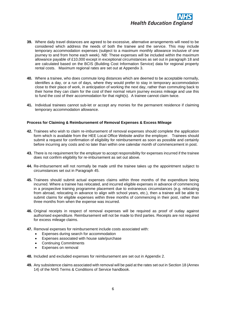

- **39.** Where daily travel distances are agreed to be excessive, alternative arrangements will need to be considered which address the needs of both the trainee and the service. This may include temporary accommodation expenses (subject to a maximum monthly allowance inclusive of one journey to and from home each week). NB: These expenses will be included within the maximum allowance payable of £10,000 except in exceptional circumstances as set out in paragraph 18 and are calculated based on the BCIS (Building Cost Information Service) data for regional property rental costs. Maximum regional rates are set out at Appendix 3.
- **40.** Where a trainee, who does commute long distances which are deemed to be acceptable normally, identifies a day, or a run of days, where they would prefer to stay in temporary accommodation close to their place of work, in anticipation of working the next day, rather than commuting back to their home they can claim for the cost of their normal return journey excess mileage and use this to fund the cost of their accommodation for that night(s). A trainee cannot claim twice.
- **41.** Individual trainees cannot sub-let or accept any monies for the permanent residence if claiming temporary accommodation allowance.

## **Process for Claiming & Reimbursement of Removal Expenses & Excess Mileage**

- **42.** Trainees who wish to claim re-imbursement of removal expenses should complete the application form which is available from the HEE Local Office Website and/or the employer. Trainees should submit a request for confirmation of eligibility for reimbursement as soon as possible and certainly before incurring any costs and no later than within one calendar month of commencement in post.
- **43.** There is no requirement for the employer to accept responsibility for expenses incurred if the trainee does not confirm eligibility for re-imbursement as set out above.
- **44.** Re-imbursement will not normally be made until the trainee takes up the appointment subject to circumstances set out in Paragraph 45.
- **45.** Trainees should submit actual expenses claims within three months of the expenditure being incurred. Where a trainee has relocated, and incurred eligible expenses in advance of commencing in a prospective training programme placement due to extraneous circumstances (e.g. relocating from abroad, relocating in advance to align with school years, etc.), then a trainee will be able to submit claims for eligible expenses within three months of commencing in their post, rather than three months from when the expense was incurred.
- **46.** Original receipts in respect of removal expenses will be required as proof of outlay against authorised expenditure. Reimbursement will not be made to third parties. Receipts are not required for excess mileage claims.
- **47.** Removal expenses for reimbursement include costs associated with:
	- Expenses during search for accommodation
	- Expenses associated with house sale/purchase
	- Continuing Commitments
	- Expenses on removal
- **48.** Included and excluded expenses for reimbursement are set out in Appendix 2.
- **49.** Any subsistence claims associated with removal will be paid at the rates set out in Section 18 (Annex 14) of the NHS Terms & Conditions of Service handbook.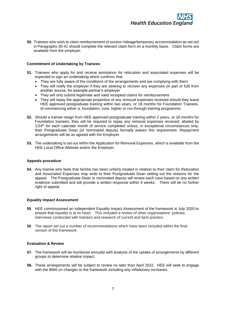

**50.** Trainees who wish to claim reimbursement of excess mileage/temporary accommodation as set out in Paragraphs 30-41 should complete the relevant claim form on a monthly basis. Claim forms are available from the employer.

## **Commitment of Undertaking by Trainees**

- **51.** Trainees who apply for and receive assistance for relocation and associated expenses will be expected to sign an undertaking which confirms that:
	- They are fully aware of the conditions of the arrangements and are complying with them
	- They will notify the employer if they are seeking to recover any expenses (in part or full) from another source, for example partner's employer
	- They will only submit legitimate and valid receipted claims for reimbursement
	- They will repay the appropriate proportion of any removal expenses received should they leave HEE approved postgraduate training within two years, or 18 months for Foundation Trainees, of commencing either a; foundation, core, higher or run through training programme.
- **52.** Should a trainee resign from HEE approved postgraduate training within 2 years, or 18 months for Foundation trainees, they will be required to repay any removal expenses received, abated by  $1/24$ <sup>th</sup> for each calendar month of service completed unless, in exceptional circumstances only, their Postgraduate Dean (or nominated deputy) formally waives this requirement. Repayment arrangements will be as agreed with the Employer.
- **53.** The undertaking is set out within the Application for Removal Expenses, which is available from the HEE Local Office Website and/or the Employer.

#### **Appeals procedure**

**54.** Any trainee who feels that he/she has been unfairly treated in relation to their claim for Relocation and Associated Expenses may write to their Postgraduate Dean setting out the reasons for the appeal. The Postgraduate Dean or nominated deputy will review each case based on any written evidence submitted and will provide a written response within 4 weeks. There will be no further right of appeal.

#### **Equality Impact Assessment**

- **55**. HEE commissioned an independent Equality Impact Assessment of the framework in July 2020 to ensure that equality is at its heart. This included a review of other organisations' policies; interviews conducted with trainees and research of current and best practice.
- **56**. The report set out a number of recommendations which have been included within the final version of the framework.

#### **Evaluation & Review**

- **57.** The framework will be monitored annually with analysis of the uptake of arrangements by different groups to determine relative impact.
- **58.** These arrangements will be subject to review no later than April 2022. HEE will seek to engage with the BMA on changes to the framework including any inflationary increases.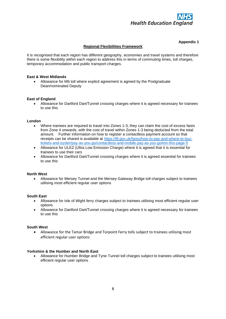

# **Regional Flexibilities Framework**

## **Appendix 1**

It is recognised that each region has different geography, economies and travel systems and therefore there is some flexibility within each region to address this in terms of commuting times, toll charges, temporary accommodation and public transport charges.

## **East & West Midlands**

• Allowance for M6 toll where explicit agreement is agreed by the Postgraduate Dean/nominated Deputy

#### **East of England**

• Allowance for Dartford Dart/Tunnel crossing charges where it is agreed necessary for trainees to use this

#### **London**

- Where trainees are required to travel into Zones 1-3, they can claim the cost of excess fares from Zone 4 onwards, with the cost of travel within Zones 1-3 being deducted from the total amount. Further information on how to register a contactless payment account so that receipts can be shared is available at [https://tfl.gov.uk/fares/how-to-pay-and-where-to-buy](https://tfl.gov.uk/fares/how-to-pay-and-where-to-buy-tickets-and-oyster/pay-as-you-go/contactless-and-mobile-pay-as-you-go#on-this-page-5)[tickets-and-oyster/pay-as-you-go/contactless-and-mobile-pay-as-you-go#on-this-page-5](https://tfl.gov.uk/fares/how-to-pay-and-where-to-buy-tickets-and-oyster/pay-as-you-go/contactless-and-mobile-pay-as-you-go#on-this-page-5)
- Allowance for ULEZ (Ultra Low Emission Charge) where it is agreed that it is essential for trainees to use their cars
- Allowance for Dartford Dart/Tunnel crossing charges where it is agreed essential for trainees to use this

## **North West**

• Allowance for Mersey Tunnel and the Mersey Gateway Bridge toll charges subject to trainees utilising most efficient regular user options

### **South East**

- Allowance for Isle of Wight ferry charges subject to trainees utilising most efficient regular user options
- Allowance for Dartford Dart/Tunnel crossing charges where it is agreed necessary for trainees to use this

## **South West**

• Allowance for the Tamar Bridge and Torpoint Ferry tolls subject to trainees utilising most efficient regular user options

## **Yorkshire & the Humber and North East**

• Allowance for Humber Bridge and Tyne Tunnel toll charges subject to trainees utilising most efficient regular user options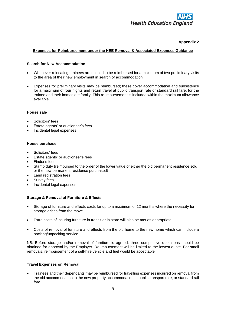

## **Appendix 2**

## **Expenses for Reimbursement under the HEE Removal & Associated Expenses Guidance**

## **Search for New Accommodation**

- Whenever relocating, trainees are entitled to be reimbursed for a maximum of two preliminary visits to the area of their new employment in search of accommodation
- Expenses for preliminary visits may be reimbursed; these cover accommodation and subsistence for a maximum of four nights and return travel at public transport rate or standard rail fare, for the trainee and their immediate family. This re-imbursement is included within the maximum allowance available.

## **House sale**

- Solicitors' fees
- Estate agents' or auctioneer's fees
- Incidental legal expenses

## **House purchase**

- Solicitors' fees
- Estate agents' or auctioneer's fees
- Finder's fees
- Stamp duty (reimbursed to the order of the lower value of either the old permanent residence sold or the new permanent residence purchased)
- Land registration fees
- Survey fees
- Incidental legal expenses

# **Storage & Removal of Furniture & Effects**

- Storage of furniture and effects costs for up to a maximum of 12 months where the necessity for storage arises from the move
- Extra costs of insuring furniture in transit or in store will also be met as appropriate
- Costs of removal of furniture and effects from the old home to the new home which can include a packing/unpacking service.

NB: Before storage and/or removal of furniture is agreed, three competitive quotations should be obtained for approval by the Employer. Re-imbursement will be limited to the lowest quote. For small removals, reimbursement of a self-hire vehicle and fuel would be acceptable

## **Travel Expenses on Removal**

• Trainees and their dependants may be reimbursed for travelling expenses incurred on removal from the old accommodation to the new property accommodation at public transport rate, or standard rail fare.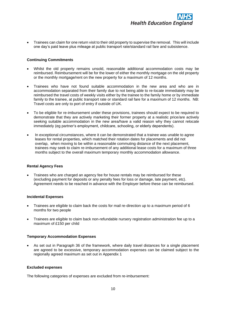

• Trainees can claim for one return visit to their old property to supervise the removal. This will include one day's paid leave plus mileage at public transport rate/standard rail fare and subsistence.

### **Continuing Commitments**

- Whilst the old property remains unsold, reasonable additional accommodation costs may be reimbursed. Reimbursement will be for the lower of either the monthly mortgage on the old property or the monthly mortgage/rent on the new property for a maximum of 12 months.
- Trainees who have not found suitable accommodation in the new area and who are in accommodation separated from their family due to not being able to re-locate immediately may be reimbursed the travel costs of weekly visits either by the trainee to the family home or by immediate family to the trainee, at public transport rate or standard rail fare for a maximum of 12 months. NB: Travel costs are only to port of entry if outside of UK.
- To be eligible for re-imbursement under these provisions, trainees should expect to be required to demonstrate that they are actively marketing their former property at a realistic price/are actively seeking suitable accommodation in the new area/have a valid reason why they cannot relocate immediately (eg partner's employment, childcare, schooling, or elderly dependents).
- In exceptional circumstances, where it can be demonstrated that a trainee was unable to agree leases for rental properties, which matched their rotation dates for placements and did not overlap, when moving to be within a reasonable commuting distance of the next placement, trainees may seek to claim re-imbursement of any additional lease costs for a maximum of three months subject to the overall maximum temporary monthly accommodation allowance.

#### **Rental Agency Fees**

• Trainees who are charged an agency fee for house rentals may be reimbursed for these (excluding payment for deposits or any penalty fees for loss or damage, late payment, etc). Agreement needs to be reached in advance with the Employer before these can be reimbursed.

## **Incidental Expenses**

- Trainees are eligible to claim back the costs for mail re-direction up to a maximum period of 6 months for two people
- Trainees are eligible to claim back non-refundable nursery registration administration fee up to a maximum of £150 per child

## **Temporary Accommodation Expenses**

• As set out in Paragraph 36 of the framework, where daily travel distances for a single placement are agreed to be excessive, temporary accommodation expenses can be claimed subject to the regionally agreed maximum as set out in Appendix 1

## **Excluded expenses**

The following categories of expenses are excluded from re-imbursement: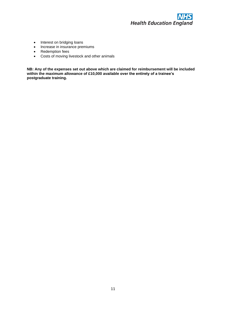

- Interest on bridging loans
- Increase in insurance premiums
- Redemption fees
- Costs of moving livestock and other animals

**NB: Any of the expenses set out above which are claimed for reimbursement will be included within the maximum allowance of £10,000 available over the entirety of a trainee's postgraduate training.**